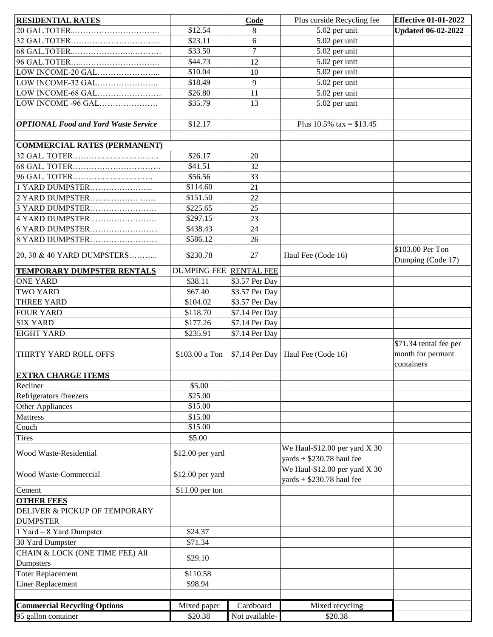| <b>RESIDENTIAL RATES</b>                         |                               | Code                             | Plus curside Recycling fee                                     | <b>Effective 01-01-2022</b>                               |
|--------------------------------------------------|-------------------------------|----------------------------------|----------------------------------------------------------------|-----------------------------------------------------------|
|                                                  | $\overline{$}12.54$           | 8                                | 5.02 per unit                                                  | <b>Updated 06-02-2022</b>                                 |
|                                                  | \$23.11                       | 6                                | 5.02 per unit                                                  |                                                           |
|                                                  | \$33.50                       | $\overline{7}$                   | 5.02 per unit                                                  |                                                           |
|                                                  | \$44.73                       | 12                               | 5.02 per unit                                                  |                                                           |
| LOW INCOME-20 GAL                                | \$10.04                       | 10                               | 5.02 per unit                                                  |                                                           |
| LOW INCOME-32 GAL                                | \$18.49                       | 9                                | 5.02 per unit                                                  |                                                           |
| LOW INCOME-68 GAL                                | \$26.80                       | 11                               | 5.02 per unit                                                  |                                                           |
| LOW INCOME -96 GAL                               | \$35.79                       | 13                               | 5.02 per unit                                                  |                                                           |
|                                                  |                               |                                  |                                                                |                                                           |
| <b>OPTIONAL Food and Yard Waste Service</b>      | \$12.17                       |                                  | Plus $10.5\%$ tax = \$13.45                                    |                                                           |
|                                                  |                               |                                  |                                                                |                                                           |
| <b>COMMERCIAL RATES (PERMANENT)</b>              |                               |                                  |                                                                |                                                           |
|                                                  | \$26.17                       | 20                               |                                                                |                                                           |
|                                                  | \$41.51                       | 32                               |                                                                |                                                           |
| 96 GAL. TOTER                                    | \$56.56                       | 33                               |                                                                |                                                           |
| 1 YARD DUMPSTER                                  | \$114.60                      | 21                               |                                                                |                                                           |
| 2 YARD DUMPSTER                                  | \$151.50                      | 22                               |                                                                |                                                           |
| 3 YARD DUMPSTER                                  | \$225.65                      | 25                               |                                                                |                                                           |
| 4 YARD DUMPSTER                                  | \$297.15                      | 23                               |                                                                |                                                           |
| 6 YARD DUMPSTER                                  | \$438.43                      | 24                               |                                                                |                                                           |
| 8 YARD DUMPSTER                                  | \$586.12                      | 26                               |                                                                |                                                           |
| 20, 30 & 40 YARD DUMPSTERS                       | \$230.78                      | 27                               | Haul Fee (Code 16)                                             | \$103.00 Per Ton<br>Dumping (Code 17)                     |
| <b>TEMPORARY DUMPSTER RENTALS</b>                | <b>DUMPING FEE RENTAL FEE</b> |                                  |                                                                |                                                           |
| <b>ONE YARD</b>                                  | \$38.11                       | \$3.57 Per Day                   |                                                                |                                                           |
| <b>TWO YARD</b>                                  | \$67.40                       | \$3.57 Per Day                   |                                                                |                                                           |
| <b>THREE YARD</b>                                | \$104.02                      | \$3.57 Per Day                   |                                                                |                                                           |
| <b>FOUR YARD</b>                                 | \$118.70                      | \$7.14 Per Day                   |                                                                |                                                           |
| <b>SIX YARD</b>                                  | \$177.26                      |                                  |                                                                |                                                           |
| <b>EIGHT YARD</b>                                | \$235.91                      | \$7.14 Per Day<br>\$7.14 Per Day |                                                                |                                                           |
| THIRTY YARD ROLL OFFS                            | \$103.00 a Ton                |                                  | $$7.14$ Per Day   Haul Fee (Code 16)                           | \$71.34 rental fee per<br>month for permant<br>containers |
| <b>EXTRA CHARGE ITEMS</b>                        |                               |                                  |                                                                |                                                           |
| Recliner                                         | \$5.00                        |                                  |                                                                |                                                           |
| Refrigerators /freezers                          | \$25.00                       |                                  |                                                                |                                                           |
| Other Appliances                                 | \$15.00                       |                                  |                                                                |                                                           |
| Mattress                                         | \$15.00                       |                                  |                                                                |                                                           |
| Couch                                            | \$15.00                       |                                  |                                                                |                                                           |
| <b>Tires</b>                                     | \$5.00                        |                                  |                                                                |                                                           |
| <b>Wood Waste-Residential</b>                    | \$12.00 per yard              |                                  | We Haul- $$12.00$ per yard X 30<br>yards $+$ \$230.78 haul fee |                                                           |
| <b>Wood Waste-Commercial</b>                     | \$12.00 per yard              |                                  | We Haul- $$12.00$ per yard X 30<br>yards $+$ \$230.78 haul fee |                                                           |
| Cement                                           | \$11.00 per ton               |                                  |                                                                |                                                           |
| <b>OTHER FEES</b>                                |                               |                                  |                                                                |                                                           |
| DELIVER & PICKUP OF TEMPORARY<br><b>DUMPSTER</b> |                               |                                  |                                                                |                                                           |
| 1 Yard - 8 Yard Dumpster                         | \$24.37                       |                                  |                                                                |                                                           |
| 30 Yard Dumpster                                 | \$71.34                       |                                  |                                                                |                                                           |
| CHAIN & LOCK (ONE TIME FEE) All                  |                               |                                  |                                                                |                                                           |
| Dumpsters                                        | \$29.10                       |                                  |                                                                |                                                           |
| <b>Toter Replacement</b>                         | \$110.58                      |                                  |                                                                |                                                           |
| Liner Replacement                                | \$98.94                       |                                  |                                                                |                                                           |
|                                                  |                               |                                  |                                                                |                                                           |
| <b>Commercial Recycling Options</b>              | Mixed paper                   | Cardboard                        | Mixed recycling                                                |                                                           |
| $\overline{95}$ gallon container                 | \$20.38                       | Not available-                   | \$20.38                                                        |                                                           |